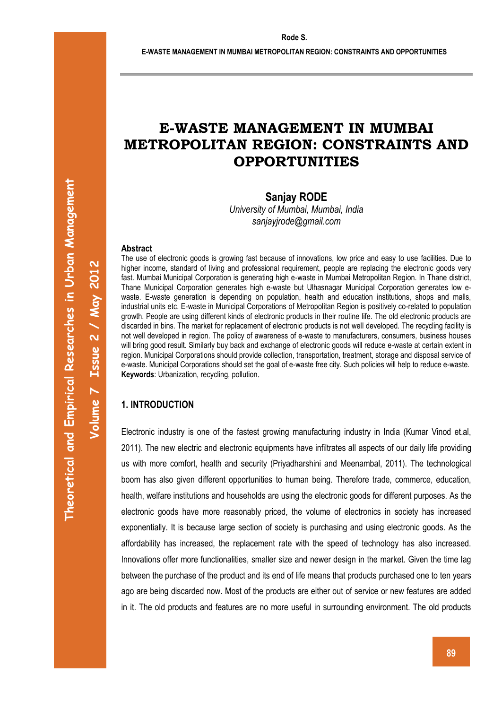# **E-WASTE MANAGEMENT IN MUMBAI METROPOLITAN REGION: CONSTRAINTS AND OPPORTUNITIES**

**Sanjay RODE** 

*University of Mumbai, Mumbai, India sanjayjrode@gmail.com* 

#### **Abstract**

The use of electronic goods is growing fast because of innovations, low price and easy to use facilities. Due to higher income, standard of living and professional requirement, people are replacing the electronic goods very fast. Mumbai Municipal Corporation is generating high e-waste in Mumbai Metropolitan Region. In Thane district, Thane Municipal Corporation generates high e-waste but Ulhasnagar Municipal Corporation generates low ewaste. E-waste generation is depending on population, health and education institutions, shops and malls, industrial units etc. E-waste in Municipal Corporations of Metropolitan Region is positively co-related to population growth. People are using different kinds of electronic products in their routine life. The old electronic products are discarded in bins. The market for replacement of electronic products is not well developed. The recycling facility is not well developed in region. The policy of awareness of e-waste to manufacturers, consumers, business houses will bring good result. Similarly buy back and exchange of electronic goods will reduce e-waste at certain extent in region. Municipal Corporations should provide collection, transportation, treatment, storage and disposal service of e-waste. Municipal Corporations should set the goal of e-waste free city. Such policies will help to reduce e-waste. **Keywords**: Urbanization, recycling, pollution.

# **1. INTRODUCTION**

Electronic industry is one of the fastest growing manufacturing industry in India (Kumar Vinod et.al, 2011). The new electric and electronic equipments have infiltrates all aspects of our daily life providing us with more comfort, health and security (Priyadharshini and Meenambal, 2011). The technological boom has also given different opportunities to human being. Therefore trade, commerce, education, health, welfare institutions and households are using the electronic goods for different purposes. As the electronic goods have more reasonably priced, the volume of electronics in society has increased exponentially. It is because large section of society is purchasing and using electronic goods. As the affordability has increased, the replacement rate with the speed of technology has also increased. Innovations offer more functionalities, smaller size and newer design in the market. Given the time lag between the purchase of the product and its end of life means that products purchased one to ten years ago are being discarded now. Most of the products are either out of service or new features are added in it. The old products and features are no more useful in surrounding environment. The old products

**Volume 7 Issue 2 / May 2012**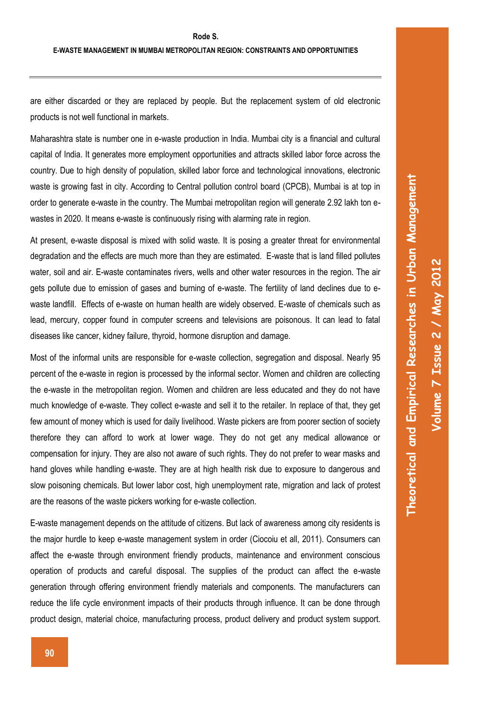Theoretical and Empirical Researches in Urban Management

 **NON-MOTORIZED TRANSPORTATION – AN EDUCATIONAL CHALLENGE FOR URBAN COMMUNITIES** 

are either discarded or they are replaced by people. But the replacement system of old electronic products is not well functional in markets.

Maharashtra state is number one in e-waste production in India. Mumbai city is a financial and cultural capital of India. It generates more employment opportunities and attracts skilled labor force across the country. Due to high density of population, skilled labor force and technological innovations, electronic waste is growing fast in city. According to Central pollution control board (CPCB), Mumbai is at top in order to generate e-waste in the country. The Mumbai metropolitan region will generate 2.92 lakh ton ewastes in 2020. It means e-waste is continuously rising with alarming rate in region.

At present, e-waste disposal is mixed with solid waste. It is posing a greater threat for environmental degradation and the effects are much more than they are estimated. E-waste that is land filled pollutes water, soil and air. E-waste contaminates rivers, wells and other water resources in the region. The air gets pollute due to emission of gases and burning of e-waste. The fertility of land declines due to ewaste landfill. Effects of e-waste on human health are widely observed. E-waste of chemicals such as lead, mercury, copper found in computer screens and televisions are poisonous. It can lead to fatal diseases like cancer, kidney failure, thyroid, hormone disruption and damage.

Most of the informal units are responsible for e-waste collection, segregation and disposal. Nearly 95 percent of the e-waste in region is processed by the informal sector. Women and children are collecting the e-waste in the metropolitan region. Women and children are less educated and they do not have much knowledge of e-waste. They collect e-waste and sell it to the retailer. In replace of that, they get few amount of money which is used for daily livelihood. Waste pickers are from poorer section of society therefore they can afford to work at lower wage. They do not get any medical allowance or compensation for injury. They are also not aware of such rights. They do not prefer to wear masks and hand gloves while handling e-waste. They are at high health risk due to exposure to dangerous and slow poisoning chemicals. But lower labor cost, high unemployment rate, migration and lack of protest are the reasons of the waste pickers working for e-waste collection.

E-waste management depends on the attitude of citizens. But lack of awareness among city residents is the major hurdle to keep e-waste management system in order (Ciocoiu et all, 2011). Consumers can affect the e-waste through environment friendly products, maintenance and environment conscious operation of products and careful disposal. The supplies of the product can affect the e-waste generation through offering environment friendly materials and components. The manufacturers can reduce the life cycle environment impacts of their products through influence. It can be done through product design, material choice, manufacturing process, product delivery and product system support.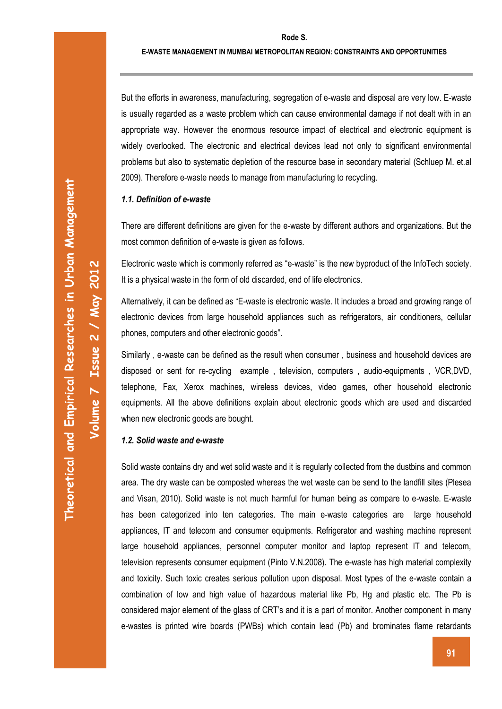#### **Rode S.**

 **NON-MOTORIZED TRANSPORTATION – AN EDUCATIONAL CHALLENGE FOR URBAN COMMUNITIES** 

**Volume 7 Issue 2 / May 2012** 

Volume 7 Issue 2 / May 2012

But the efforts in awareness, manufacturing, segregation of e-waste and disposal are very low. E-waste is usually regarded as a waste problem which can cause environmental damage if not dealt with in an appropriate way. However the enormous resource impact of electrical and electronic equipment is widely overlooked. The electronic and electrical devices lead not only to significant environmental problems but also to systematic depletion of the resource base in secondary material (Schluep M. et.al 2009). Therefore e-waste needs to manage from manufacturing to recycling.

### *1.1. Definition of e-waste*

There are different definitions are given for the e-waste by different authors and organizations. But the most common definition of e-waste is given as follows.

Electronic waste which is commonly referred as "e-waste" is the new byproduct of the InfoTech society. It is a physical waste in the form of old discarded, end of life electronics.

Alternatively, it can be defined as "E-waste is electronic waste. It includes a broad and growing range of electronic devices from large household appliances such as refrigerators, air conditioners, cellular phones, computers and other electronic goods".

Similarly , e-waste can be defined as the result when consumer , business and household devices are disposed or sent for re-cycling example , television, computers , audio-equipments , VCR,DVD, telephone, Fax, Xerox machines, wireless devices, video games, other household electronic equipments. All the above definitions explain about electronic goods which are used and discarded when new electronic goods are bought.

#### *1.2. Solid waste and e-waste*

Solid waste contains dry and wet solid waste and it is regularly collected from the dustbins and common area. The dry waste can be composted whereas the wet waste can be send to the landfill sites (Plesea and Visan, 2010). Solid waste is not much harmful for human being as compare to e-waste. E-waste has been categorized into ten categories. The main e-waste categories are large household appliances, IT and telecom and consumer equipments. Refrigerator and washing machine represent large household appliances, personnel computer monitor and laptop represent IT and telecom, television represents consumer equipment (Pinto V.N.2008). The e-waste has high material complexity and toxicity. Such toxic creates serious pollution upon disposal. Most types of the e-waste contain a combination of low and high value of hazardous material like Pb, Hg and plastic etc. The Pb is considered major element of the glass of CRT's and it is a part of monitor. Another component in many e-wastes is printed wire boards (PWBs) which contain lead (Pb) and brominates flame retardants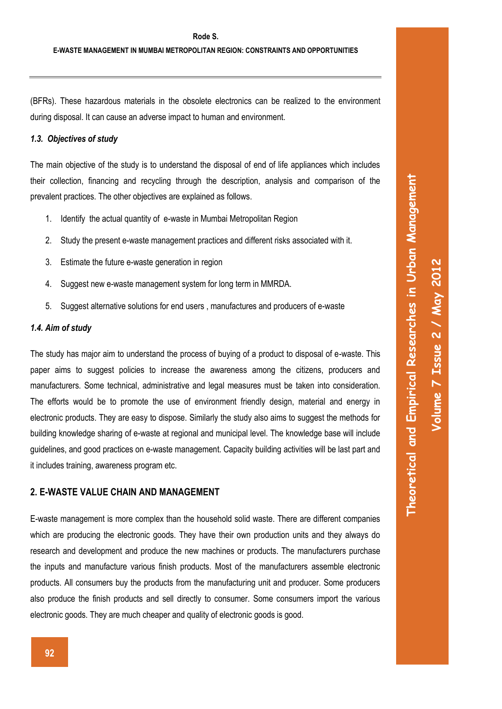(BFRs). These hazardous materials in the obsolete electronics can be realized to the environment during disposal. It can cause an adverse impact to human and environment.

#### *1.3. Objectives of study*

The main objective of the study is to understand the disposal of end of life appliances which includes their collection, financing and recycling through the description, analysis and comparison of the prevalent practices. The other objectives are explained as follows.

- 1. Identify the actual quantity of e-waste in Mumbai Metropolitan Region
- 2. Study the present e-waste management practices and different risks associated with it.
- 3. Estimate the future e-waste generation in region
- 4. Suggest new e-waste management system for long term in MMRDA.
- 5. Suggest alternative solutions for end users , manufactures and producers of e-waste

### *1.4. Aim of study*

The study has major aim to understand the process of buying of a product to disposal of e-waste. This paper aims to suggest policies to increase the awareness among the citizens, producers and manufacturers. Some technical, administrative and legal measures must be taken into consideration. The efforts would be to promote the use of environment friendly design, material and energy in electronic products. They are easy to dispose. Similarly the study also aims to suggest the methods for building knowledge sharing of e-waste at regional and municipal level. The knowledge base will include guidelines, and good practices on e-waste management. Capacity building activities will be last part and it includes training, awareness program etc.

### **2. E-WASTE VALUE CHAIN AND MANAGEMENT**

E-waste management is more complex than the household solid waste. There are different companies which are producing the electronic goods. They have their own production units and they always do research and development and produce the new machines or products. The manufacturers purchase the inputs and manufacture various finish products. Most of the manufacturers assemble electronic products. All consumers buy the products from the manufacturing unit and producer. Some producers also produce the finish products and sell directly to consumer. Some consumers import the various electronic goods. They are much cheaper and quality of electronic goods is good.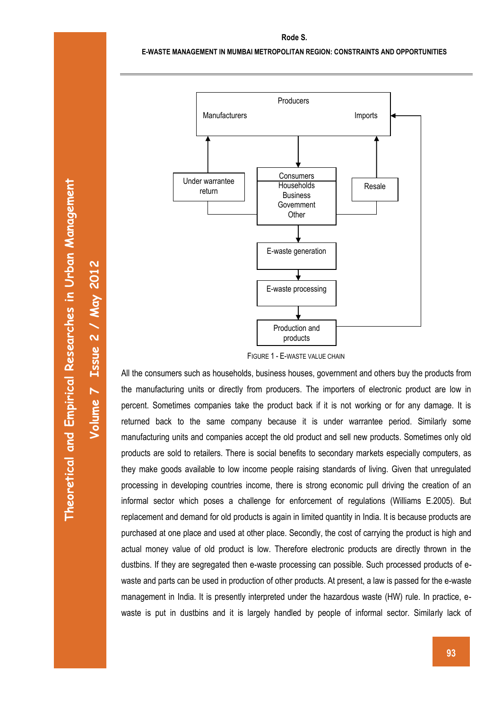#### **E-WASTE MANAGEMENT IN MUMBAI METROPOLITAN REGION: CONSTRAINTS AND OPPORTUNITIES**

 **NON-MOTORIZED TRANSPORTATION – AN EDUCATIONAL CHALLENGE FOR URBAN COMMUNITIES** 



FIGURE 1 - E-WASTE VALUE CHAIN

All the consumers such as households, business houses, government and others buy the products from the manufacturing units or directly from producers. The importers of electronic product are low in percent. Sometimes companies take the product back if it is not working or for any damage. It is returned back to the same company because it is under warrantee period. Similarly some manufacturing units and companies accept the old product and sell new products. Sometimes only old products are sold to retailers. There is social benefits to secondary markets especially computers, as they make goods available to low income people raising standards of living. Given that unregulated processing in developing countries income, there is strong economic pull driving the creation of an informal sector which poses a challenge for enforcement of regulations (Williams E.2005). But replacement and demand for old products is again in limited quantity in India. It is because products are purchased at one place and used at other place. Secondly, the cost of carrying the product is high and actual money value of old product is low. Therefore electronic products are directly thrown in the dustbins. If they are segregated then e-waste processing can possible. Such processed products of ewaste and parts can be used in production of other products. At present, a law is passed for the e-waste management in India. It is presently interpreted under the hazardous waste (HW) rule. In practice, ewaste is put in dustbins and it is largely handled by people of informal sector. Similarly lack of

**Volume 7 Issue 2 / May 2012**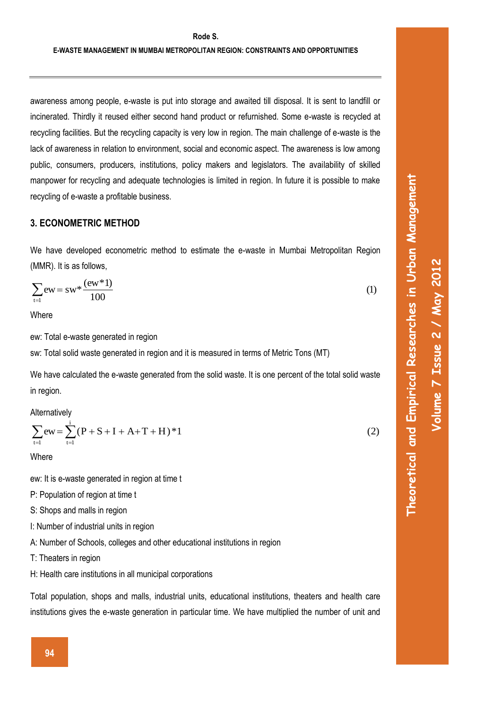#### **Rode S.**

 **NON-MOTORIZED TRANSPORTATION – AN EDUCATIONAL CHALLENGE FOR URBAN COMMUNITIES** 

awareness among people, e-waste is put into storage and awaited till disposal. It is sent to landfill or incinerated. Thirdly it reused either second hand product or refurnished. Some e-waste is recycled at recycling facilities. But the recycling capacity is very low in region. The main challenge of e-waste is the lack of awareness in relation to environment, social and economic aspect. The awareness is low among public, consumers, producers, institutions, policy makers and legislators. The availability of skilled manpower for recycling and adequate technologies is limited in region. In future it is possible to make recycling of e-waste a profitable business.

### **3. ECONOMETRIC METHOD**

We have developed econometric method to estimate the e-waste in Mumbai Metropolitan Region (MMR). It is as follows,

$$
\sum_{t=1}^{\infty} ew = sw^* \frac{(ew^*1)}{100}
$$
 (1)

**Where** 

ew: Total e-waste generated in region

sw: Total solid waste generated in region and it is measured in terms of Metric Tons (MT)

We have calculated the e-waste generated from the solid waste. It is one percent of the total solid waste in region.

Alternatively

$$
\sum_{t=1}^{\infty} ew = \sum_{t=1}^{i} (P + S + I + A + T + H)^* 1
$$
 (2)

**Where** 

ew: It is e-waste generated in region at time t

- P: Population of region at time t
- S: Shops and malls in region
- I: Number of industrial units in region
- A: Number of Schools, colleges and other educational institutions in region
- T: Theaters in region
- H: Health care institutions in all municipal corporations

Total population, shops and malls, industrial units, educational institutions, theaters and health care institutions gives the e-waste generation in particular time. We have multiplied the number of unit and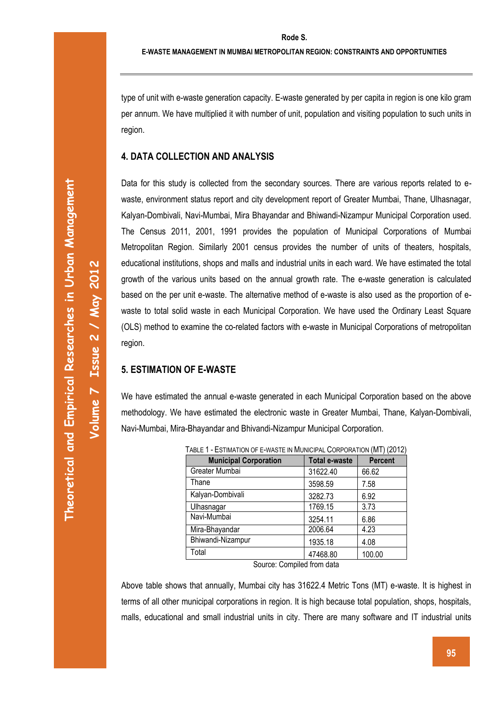**Volume 7 Issue 2 / May 2012** 

Volume 7 Issue 2 / May 2012

type of unit with e-waste generation capacity. E-waste generated by per capita in region is one kilo gram per annum. We have multiplied it with number of unit, population and visiting population to such units in region.

 **NON-MOTORIZED TRANSPORTATION – AN EDUCATIONAL CHALLENGE FOR URBAN COMMUNITIES** 

### **4. DATA COLLECTION AND ANALYSIS**

Data for this study is collected from the secondary sources. There are various reports related to ewaste, environment status report and city development report of Greater Mumbai, Thane, Ulhasnagar, Kalyan-Dombivali, Navi-Mumbai, Mira Bhayandar and Bhiwandi-Nizampur Municipal Corporation used. The Census 2011, 2001, 1991 provides the population of Municipal Corporations of Mumbai Metropolitan Region. Similarly 2001 census provides the number of units of theaters, hospitals, educational institutions, shops and malls and industrial units in each ward. We have estimated the total growth of the various units based on the annual growth rate. The e-waste generation is calculated based on the per unit e-waste. The alternative method of e-waste is also used as the proportion of ewaste to total solid waste in each Municipal Corporation. We have used the Ordinary Least Square (OLS) method to examine the co-related factors with e-waste in Municipal Corporations of metropolitan region.

# **5. ESTIMATION OF E-WASTE**

We have estimated the annual e-waste generated in each Municipal Corporation based on the above methodology. We have estimated the electronic waste in Greater Mumbai, Thane, Kalyan-Dombivali, Navi-Mumbai, Mira-Bhayandar and Bhivandi-Nizampur Municipal Corporation.

| TABLE T - ESTIMATION OF E-WASTE IN MUNICIPAL CORPORATION (IVIT) (ZUTZ) |                      |                |  |  |
|------------------------------------------------------------------------|----------------------|----------------|--|--|
| <b>Municipal Corporation</b>                                           | <b>Total e-waste</b> | <b>Percent</b> |  |  |
| Greater Mumbai                                                         | 31622.40             | 66.62          |  |  |
| Thane                                                                  | 3598.59              | 7.58           |  |  |
| Kalyan-Dombivali                                                       | 3282.73              | 6.92           |  |  |
| Ulhasnagar                                                             | 1769.15              | 3.73           |  |  |
| Navi-Mumbai                                                            | 3254.11              | 6.86           |  |  |
| Mira-Bhayandar                                                         | 2006.64              | 4.23           |  |  |
| Bhiwandi-Nizampur                                                      | 1935.18              | 4.08           |  |  |
| Total                                                                  | 47468.80             | 100.00         |  |  |
|                                                                        |                      |                |  |  |

 $T$  $\odot$   $\sim$   $T$   $\odot$   $\sim$   $T$   $\odot$   $\sim$   $M$   $\odot$   $M$   $\odot$   $\sim$   $M$  $\odot$   $\sim$   $M$  $\odot$   $\sim$   $M$  $\odot$   $\sim$   $M$ 

Source: Compiled from data

Above table shows that annually, Mumbai city has 31622.4 Metric Tons (MT) e-waste. It is highest in terms of all other municipal corporations in region. It is high because total population, shops, hospitals, malls, educational and small industrial units in city. There are many software and IT industrial units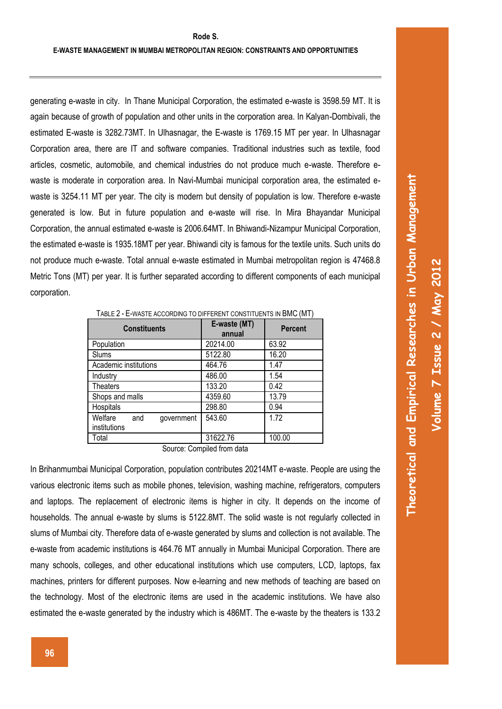generating e-waste in city. In Thane Municipal Corporation, the estimated e-waste is 3598.59 MT. It is again because of growth of population and other units in the corporation area. In Kalyan-Dombivali, the estimated E-waste is 3282.73MT. In Ulhasnagar, the E-waste is 1769.15 MT per year. In Ulhasnagar Corporation area, there are IT and software companies. Traditional industries such as textile, food articles, cosmetic, automobile, and chemical industries do not produce much e-waste. Therefore ewaste is moderate in corporation area. In Navi-Mumbai municipal corporation area, the estimated ewaste is 3254.11 MT per year. The city is modern but density of population is low. Therefore e-waste generated is low. But in future population and e-waste will rise. In Mira Bhayandar Municipal Corporation, the annual estimated e-waste is 2006.64MT. In Bhiwandi-Nizampur Municipal Corporation, the estimated e-waste is 1935.18MT per year. Bhiwandi city is famous for the textile units. Such units do not produce much e-waste. Total annual e-waste estimated in Mumbai metropolitan region is 47468.8 Metric Tons (MT) per year. It is further separated according to different components of each municipal corporation.

| <b>Constituents</b>                          | E-waste (MT)<br>annual | <b>Percent</b> |  |  |
|----------------------------------------------|------------------------|----------------|--|--|
| Population                                   | 20214.00               | 63.92          |  |  |
| Slums                                        | 5122.80                | 16.20          |  |  |
| Academic institutions                        | 464.76                 | 1.47           |  |  |
| Industry                                     | 486.00                 | 1.54           |  |  |
| <b>Theaters</b>                              | 133.20                 | 0.42           |  |  |
| Shops and malls                              | 4359.60                | 13.79          |  |  |
| Hospitals                                    | 298.80                 | 0.94           |  |  |
| Welfare<br>government<br>and<br>institutions | 543.60                 | 1.72           |  |  |
| Total                                        | 31622.76               | 100.00         |  |  |

TABLE 2 - E-WASTE ACCORDING TO DIFFERENT CONSTITUENTS IN BMC (MT)

Source: Compiled from data

In Brihanmumbai Municipal Corporation, population contributes 20214MT e-waste. People are using the various electronic items such as mobile phones, television, washing machine, refrigerators, computers and laptops. The replacement of electronic items is higher in city. It depends on the income of households. The annual e-waste by slums is 5122.8MT. The solid waste is not regularly collected in slums of Mumbai city. Therefore data of e-waste generated by slums and collection is not available. The e-waste from academic institutions is 464.76 MT annually in Mumbai Municipal Corporation. There are many schools, colleges, and other educational institutions which use computers, LCD, laptops, fax machines, printers for different purposes. Now e-learning and new methods of teaching are based on the technology. Most of the electronic items are used in the academic institutions. We have also estimated the e-waste generated by the industry which is 486MT. The e-waste by the theaters is 133.2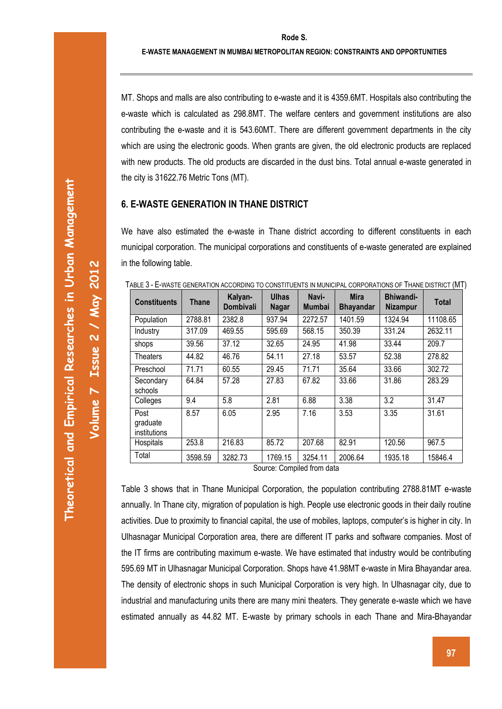MT. Shops and malls are also contributing to e-waste and it is 4359.6MT. Hospitals also contributing the e-waste which is calculated as 298.8MT. The welfare centers and government institutions are also contributing the e-waste and it is 543.60MT. There are different government departments in the city which are using the electronic goods. When grants are given, the old electronic products are replaced with new products. The old products are discarded in the dust bins. Total annual e-waste generated in the city is 31622.76 Metric Tons (MT).

### **6. E-WASTE GENERATION IN THANE DISTRICT**

We have also estimated the e-waste in Thane district according to different constituents in each municipal corporation. The municipal corporations and constituents of e-waste generated are explained in the following table.

| <b>Constituents</b>              | Thane   | Kalyan-<br><b>Dombivali</b> | <b>Ulhas</b><br><b>Nagar</b> | Navi-<br><b>Mumbai</b> | <b>Mira</b><br><b>Bhayandar</b> | Bhiwandi-<br><b>Nizampur</b> | <b>Total</b> |
|----------------------------------|---------|-----------------------------|------------------------------|------------------------|---------------------------------|------------------------------|--------------|
| Population                       | 2788.81 | 2382.8                      | 937.94                       | 2272.57                | 1401.59                         | 1324.94                      | 11108.65     |
| Industry                         | 317.09  | 469.55                      | 595.69                       | 568.15                 | 350.39                          | 331.24                       | 2632.11      |
| shops                            | 39.56   | 37.12                       | 32.65                        | 24.95                  | 41.98                           | 33.44                        | 209.7        |
| Theaters                         | 44.82   | 46.76                       | 54.11                        | 27.18                  | 53.57                           | 52.38                        | 278.82       |
| Preschool                        | 71.71   | 60.55                       | 29.45                        | 71.71                  | 35.64                           | 33.66                        | 302.72       |
| Secondary<br>schools             | 64.84   | 57.28                       | 27.83                        | 67.82                  | 33.66                           | 31.86                        | 283.29       |
| Colleges                         | 9.4     | 5.8                         | 2.81                         | 6.88                   | 3.38                            | 3.2                          | 31.47        |
| Post<br>graduate<br>institutions | 8.57    | 6.05                        | 2.95                         | 7.16                   | 3.53                            | 3.35                         | 31.61        |
| Hospitals                        | 253.8   | 216.83                      | 85.72                        | 207.68                 | 82.91                           | 120.56                       | 967.5        |
| Total                            | 3598.59 | 3282.73                     | 1769.15                      | 3254.11                | 2006.64                         | 1935.18                      | 15846.4      |

TABLE 3 - E-WASTE GENERATION ACCORDING TO CONSTITUENTS IN MUNICIPAL CORPORATIONS OF THANE DISTRICT (MT)

Source: Compiled from data

Table 3 shows that in Thane Municipal Corporation, the population contributing 2788.81MT e-waste annually. In Thane city, migration of population is high. People use electronic goods in their daily routine activities. Due to proximity to financial capital, the use of mobiles, laptops, computer's is higher in city. In Ulhasnagar Municipal Corporation area, there are different IT parks and software companies. Most of the IT firms are contributing maximum e-waste. We have estimated that industry would be contributing 595.69 MT in Ulhasnagar Municipal Corporation. Shops have 41.98MT e-waste in Mira Bhayandar area. The density of electronic shops in such Municipal Corporation is very high. In Ulhasnagar city, due to industrial and manufacturing units there are many mini theaters. They generate e-waste which we have estimated annually as 44.82 MT. E-waste by primary schools in each Thane and Mira-Bhayandar

**Volume 7 Issue 2 / May 2012**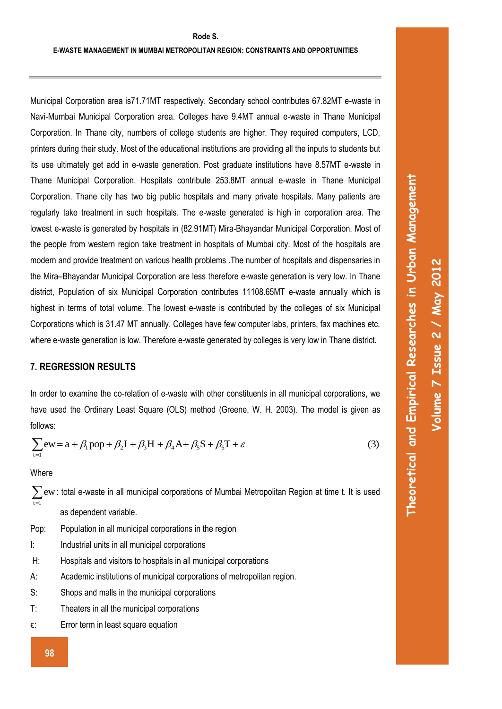Municipal Corporation area is71.71MT respectively. Secondary school contributes 67.82MT e-waste in Navi-Mumbai Municipal Corporation area. Colleges have 9.4MT annual e-waste in Thane Municipal Corporation. In Thane city, numbers of college students are higher. They required computers, LCD, printers during their study. Most of the educational institutions are providing all the inputs to students but its use ultimately get add in e-waste generation. Post graduate institutions have 8.57MT e-waste in Thane Municipal Corporation. Hospitals contribute 253.8MT annual e-waste in Thane Municipal Corporation. Thane city has two big public hospitals and many private hospitals. Many patients are regularly take treatment in such hospitals. The e-waste generated is high in corporation area. The lowest e-waste is generated by hospitals in (82.91MT) Mira-Bhayandar Municipal Corporation. Most of the people from western region take treatment in hospitals of Mumbai city. Most of the hospitals are modern and provide treatment on various health problems .The number of hospitals and dispensaries in the Mira–Bhayandar Municipal Corporation are less therefore e-waste generation is very low. In Thane district, Population of six Municipal Corporation contributes 11108.65MT e-waste annually which is highest in terms of total volume. The lowest e-waste is contributed by the colleges of six Municipal Corporations which is 31.47 MT annually. Colleges have few computer labs, printers, fax machines etc. where e-waste generation is low. Therefore e-waste generated by colleges is very low in Thane district.

# **7. REGRESSION RESULTS**

In order to examine the co-relation of e-waste with other constituents in all municipal corporations, we have used the Ordinary Least Square (OLS) method (Greene, W. H. 2003). The model is given as follows:

$$
\sum_{t=1}^{\infty} \text{ew} = a + \beta_1 \text{pop} + \beta_2 I + \beta_3 H + \beta_4 A + \beta_5 S + \beta_6 T + \varepsilon
$$
\n(3)

**Where** 

- $\sum_{t=1}$  ew: total e-waste in all municipal corporations of Mumbai Metropolitan Region at time t. It is used as dependent variable.
- Pop: Population in all municipal corporations in the region
- I: Industrial units in all municipal corporations
- H: Hospitals and visitors to hospitals in all municipal corporations
- A: Academic institutions of municipal corporations of metropolitan region.
- S: Shops and malls in the municipal corporations
- T: Theaters in all the municipal corporations
- ϵ: Error term in least square equation

**Volume 7 Issue 2 / May 2012**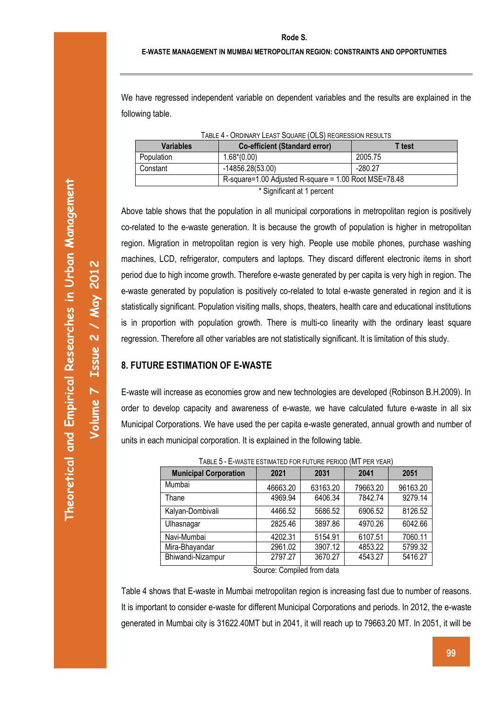#### **E-WASTE MANAGEMENT IN MUMBAI METROPOLITAN REGION: CONSTRAINTS AND OPPORTUNITIES**

We have regressed independent variable on dependent variables and the results are explained in the following table.

 **NON-MOTORIZED TRANSPORTATION – AN EDUCATIONAL CHALLENGE FOR URBAN COMMUNITIES** 

| <b>Variables</b>           | <b>Co-efficient (Standard error)</b>                  | T test    |  |  |  |
|----------------------------|-------------------------------------------------------|-----------|--|--|--|
| Population                 | $1.68*(0.00)$                                         | 2005.75   |  |  |  |
| Constant                   | -14856.28(53.00)                                      | $-280.27$ |  |  |  |
|                            | R-square=1.00 Adjusted R-square = 1.00 Root MSE=78.48 |           |  |  |  |
| * Significant at 1 percent |                                                       |           |  |  |  |

TABLE 4 - ORDINARY LEAST SQUARE (OLS) REGRESSION RESULTS

Above table shows that the population in all municipal corporations in metropolitan region is positively co-related to the e-waste generation. It is because the growth of population is higher in metropolitan region. Migration in metropolitan region is very high. People use mobile phones, purchase washing

machines, LCD, refrigerator, computers and laptops. They discard different electronic items in short period due to high income growth. Therefore e-waste generated by per capita is very high in region. The e-waste generated by population is positively co-related to total e-waste generated in region and it is statistically significant. Population visiting malls, shops, theaters, health care and educational institutions is in proportion with population growth. There is multi-co linearity with the ordinary least square regression. Therefore all other variables are not statistically significant. It is limitation of this study.

# **8. FUTURE ESTIMATION OF E-WASTE**

E-waste will increase as economies grow and new technologies are developed (Robinson B.H.2009). In order to develop capacity and awareness of e-waste, we have calculated future e-waste in all six Municipal Corporations. We have used the per capita e-waste generated, annual growth and number of units in each municipal corporation. It is explained in the following table.

| <u> I ADLL V = L=IINATL LOTIIIIATLD I VINTUTUNE I LINOD IIII I TEN TEAN.</u> |          |          |          |          |  |
|------------------------------------------------------------------------------|----------|----------|----------|----------|--|
| <b>Municipal Corporation</b>                                                 | 2021     | 2031     | 2041     | 2051     |  |
| Mumbai                                                                       | 46663.20 | 63163.20 | 79663.20 | 96163.20 |  |
| Thane                                                                        | 4969.94  | 6406.34  | 7842.74  | 9279.14  |  |
| Kalyan-Dombivali                                                             | 4466.52  | 5686.52  | 6906.52  | 8126.52  |  |
| Ulhasnagar                                                                   | 2825.46  | 3897.86  | 4970.26  | 6042.66  |  |
| Navi-Mumbai                                                                  | 4202.31  | 5154.91  | 6107.51  | 7060.11  |  |
| Mira-Bhayandar                                                               | 2961.02  | 3907.12  | 4853.22  | 5799.32  |  |
| Bhiwandi-Nizampur                                                            | 2797.27  | 3670.27  | 4543.27  | 5416.27  |  |

TABLE 5 - E-WASTE ESTIMATED FOR FUTURE PERIOD (MT PER YEAR)

Source: Compiled from data

Table 4 shows that E-waste in Mumbai metropolitan region is increasing fast due to number of reasons. It is important to consider e-waste for different Municipal Corporations and periods. In 2012, the e-waste generated in Mumbai city is 31622.40MT but in 2041, it will reach up to 79663.20 MT. In 2051, it will be

**Volume 7 Issue 2 / May 2012**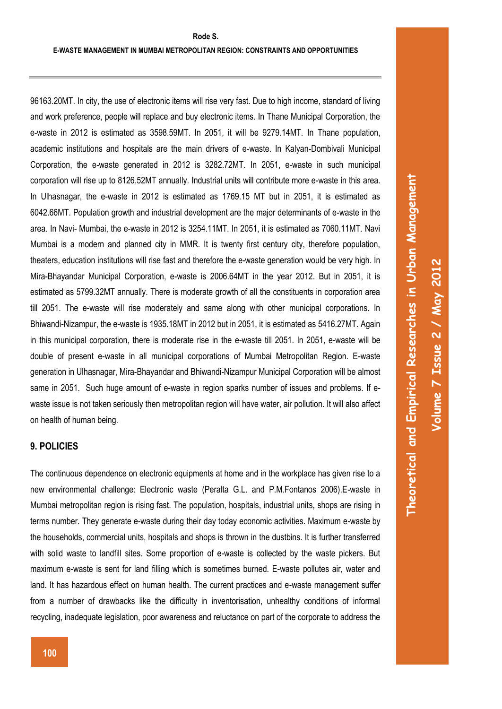96163.20MT. In city, the use of electronic items will rise very fast. Due to high income, standard of living and work preference, people will replace and buy electronic items. In Thane Municipal Corporation, the e-waste in 2012 is estimated as 3598.59MT. In 2051, it will be 9279.14MT. In Thane population, academic institutions and hospitals are the main drivers of e-waste. In Kalyan-Dombivali Municipal Corporation, the e-waste generated in 2012 is 3282.72MT. In 2051, e-waste in such municipal corporation will rise up to 8126.52MT annually. Industrial units will contribute more e-waste in this area. In Ulhasnagar, the e-waste in 2012 is estimated as 1769.15 MT but in 2051, it is estimated as 6042.66MT. Population growth and industrial development are the major determinants of e-waste in the area. In Navi- Mumbai, the e-waste in 2012 is 3254.11MT. In 2051, it is estimated as 7060.11MT. Navi Mumbai is a modern and planned city in MMR. It is twenty first century city, therefore population, theaters, education institutions will rise fast and therefore the e-waste generation would be very high. In Mira-Bhayandar Municipal Corporation, e-waste is 2006.64MT in the year 2012. But in 2051, it is estimated as 5799.32MT annually. There is moderate growth of all the constituents in corporation area till 2051. The e-waste will rise moderately and same along with other municipal corporations. In Bhiwandi-Nizampur, the e-waste is 1935.18MT in 2012 but in 2051, it is estimated as 5416.27MT. Again in this municipal corporation, there is moderate rise in the e-waste till 2051. In 2051, e-waste will be double of present e-waste in all municipal corporations of Mumbai Metropolitan Region. E-waste generation in Ulhasnagar, Mira-Bhayandar and Bhiwandi-Nizampur Municipal Corporation will be almost same in 2051. Such huge amount of e-waste in region sparks number of issues and problems. If ewaste issue is not taken seriously then metropolitan region will have water, air pollution. It will also affect on health of human being.

### **9. POLICIES**

The continuous dependence on electronic equipments at home and in the workplace has given rise to a new environmental challenge: Electronic waste (Peralta G.L. and P.M.Fontanos 2006).E-waste in Mumbai metropolitan region is rising fast. The population, hospitals, industrial units, shops are rising in terms number. They generate e-waste during their day today economic activities. Maximum e-waste by the households, commercial units, hospitals and shops is thrown in the dustbins. It is further transferred with solid waste to landfill sites. Some proportion of e-waste is collected by the waste pickers. But maximum e-waste is sent for land filling which is sometimes burned. E-waste pollutes air, water and land. It has hazardous effect on human health. The current practices and e-waste management suffer from a number of drawbacks like the difficulty in inventorisation, unhealthy conditions of informal recycling, inadequate legislation, poor awareness and reluctance on part of the corporate to address the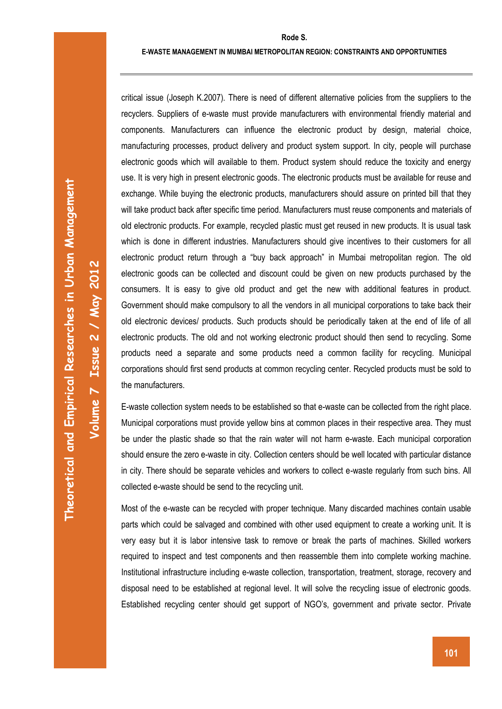**Theoretical and Empirical Researches in Urban Management**  Theoretical and Empirical Researches in Urban Management

**Volume 7 Issue 2 / May 2012** 

Volume 7 Issue 2 / May 2012

critical issue (Joseph K.2007). There is need of different alternative policies from the suppliers to the recyclers. Suppliers of e-waste must provide manufacturers with environmental friendly material and components. Manufacturers can influence the electronic product by design, material choice, manufacturing processes, product delivery and product system support. In city, people will purchase electronic goods which will available to them. Product system should reduce the toxicity and energy use. It is very high in present electronic goods. The electronic products must be available for reuse and exchange. While buying the electronic products, manufacturers should assure on printed bill that they will take product back after specific time period. Manufacturers must reuse components and materials of old electronic products. For example, recycled plastic must get reused in new products. It is usual task which is done in different industries. Manufacturers should give incentives to their customers for all electronic product return through a "buy back approach" in Mumbai metropolitan region. The old electronic goods can be collected and discount could be given on new products purchased by the consumers. It is easy to give old product and get the new with additional features in product. Government should make compulsory to all the vendors in all municipal corporations to take back their old electronic devices/ products. Such products should be periodically taken at the end of life of all electronic products. The old and not working electronic product should then send to recycling. Some products need a separate and some products need a common facility for recycling. Municipal corporations should first send products at common recycling center. Recycled products must be sold to the manufacturers.

E-waste collection system needs to be established so that e-waste can be collected from the right place. Municipal corporations must provide yellow bins at common places in their respective area. They must be under the plastic shade so that the rain water will not harm e-waste. Each municipal corporation should ensure the zero e-waste in city. Collection centers should be well located with particular distance in city. There should be separate vehicles and workers to collect e-waste regularly from such bins. All collected e-waste should be send to the recycling unit.

Most of the e-waste can be recycled with proper technique. Many discarded machines contain usable parts which could be salvaged and combined with other used equipment to create a working unit. It is very easy but it is labor intensive task to remove or break the parts of machines. Skilled workers required to inspect and test components and then reassemble them into complete working machine. Institutional infrastructure including e-waste collection, transportation, treatment, storage, recovery and disposal need to be established at regional level. It will solve the recycling issue of electronic goods. Established recycling center should get support of NGO's, government and private sector. Private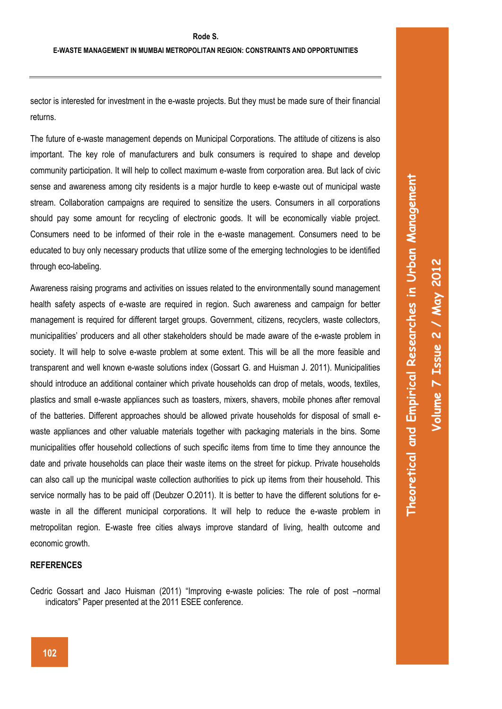sector is interested for investment in the e-waste projects. But they must be made sure of their financial returns.

 **NON-MOTORIZED TRANSPORTATION – AN EDUCATIONAL CHALLENGE FOR URBAN COMMUNITIES** 

The future of e-waste management depends on Municipal Corporations. The attitude of citizens is also important. The key role of manufacturers and bulk consumers is required to shape and develop community participation. It will help to collect maximum e-waste from corporation area. But lack of civic sense and awareness among city residents is a major hurdle to keep e-waste out of municipal waste stream. Collaboration campaigns are required to sensitize the users. Consumers in all corporations should pay some amount for recycling of electronic goods. It will be economically viable project. Consumers need to be informed of their role in the e-waste management. Consumers need to be educated to buy only necessary products that utilize some of the emerging technologies to be identified through eco-labeling.

Awareness raising programs and activities on issues related to the environmentally sound management health safety aspects of e-waste are required in region. Such awareness and campaign for better management is required for different target groups. Government, citizens, recyclers, waste collectors, municipalities' producers and all other stakeholders should be made aware of the e-waste problem in society. It will help to solve e-waste problem at some extent. This will be all the more feasible and transparent and well known e-waste solutions index (Gossart G. and Huisman J. 2011). Municipalities should introduce an additional container which private households can drop of metals, woods, textiles, plastics and small e-waste appliances such as toasters, mixers, shavers, mobile phones after removal of the batteries. Different approaches should be allowed private households for disposal of small ewaste appliances and other valuable materials together with packaging materials in the bins. Some municipalities offer household collections of such specific items from time to time they announce the date and private households can place their waste items on the street for pickup. Private households can also call up the municipal waste collection authorities to pick up items from their household. This service normally has to be paid off (Deubzer O.2011). It is better to have the different solutions for ewaste in all the different municipal corporations. It will help to reduce the e-waste problem in metropolitan region. E-waste free cities always improve standard of living, health outcome and economic growth.

#### **REFERENCES**

Cedric Gossart and Jaco Huisman (2011) "Improving e-waste policies: The role of post –normal indicators" Paper presented at the 2011 ESEE conference.